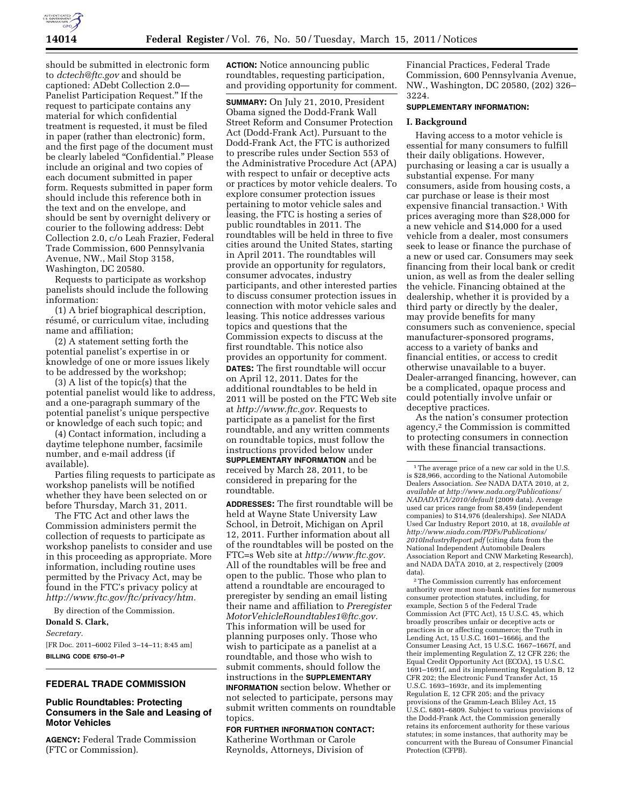

should be submitted in electronic form to *[dctech@ftc.gov](mailto:dctech@ftc.gov)* and should be captioned: ADebt Collection 2.0— Panelist Participation Request.'' If the request to participate contains any material for which confidential treatment is requested, it must be filed in paper (rather than electronic) form, and the first page of the document must be clearly labeled "Confidential." Please include an original and two copies of each document submitted in paper form. Requests submitted in paper form should include this reference both in the text and on the envelope, and should be sent by overnight delivery or courier to the following address: Debt Collection 2.0, c/o Leah Frazier, Federal Trade Commission, 600 Pennsylvania Avenue, NW., Mail Stop 3158, Washington, DC 20580.

Requests to participate as workshop panelists should include the following information:

(1) A brief biographical description, résumé, or curriculum vitae, including name and affiliation;

(2) A statement setting forth the potential panelist's expertise in or knowledge of one or more issues likely to be addressed by the workshop;

(3) A list of the topic(s) that the potential panelist would like to address, and a one-paragraph summary of the potential panelist's unique perspective or knowledge of each such topic; and

(4) Contact information, including a daytime telephone number, facsimile number, and e-mail address (if available).

Parties filing requests to participate as workshop panelists will be notified whether they have been selected on or before Thursday, March 31, 2011.

The FTC Act and other laws the Commission administers permit the collection of requests to participate as workshop panelists to consider and use in this proceeding as appropriate. More information, including routine uses permitted by the Privacy Act, may be found in the FTC's privacy policy at *[http://www.ftc.gov/ftc/privacy/htm.](http://www.ftc.gov/ftc/privacy/htm)* 

By direction of the Commission.

# **Donald S. Clark,**

*Secretary.* 

[FR Doc. 2011–6002 Filed 3–14–11; 8:45 am] **BILLING CODE 6750–01–P** 

# **FEDERAL TRADE COMMISSION**

### **Public Roundtables: Protecting Consumers in the Sale and Leasing of Motor Vehicles**

**AGENCY:** Federal Trade Commission (FTC or Commission).

**ACTION:** Notice announcing public roundtables, requesting participation, and providing opportunity for comment.

**SUMMARY:** On July 21, 2010, President Obama signed the Dodd-Frank Wall Street Reform and Consumer Protection Act (Dodd-Frank Act). Pursuant to the Dodd-Frank Act, the FTC is authorized to prescribe rules under Section 553 of the Administrative Procedure Act (APA) with respect to unfair or deceptive acts or practices by motor vehicle dealers. To explore consumer protection issues pertaining to motor vehicle sales and leasing, the FTC is hosting a series of public roundtables in 2011. The roundtables will be held in three to five cities around the United States, starting in April 2011. The roundtables will provide an opportunity for regulators, consumer advocates, industry participants, and other interested parties to discuss consumer protection issues in connection with motor vehicle sales and leasing. This notice addresses various topics and questions that the Commission expects to discuss at the first roundtable. This notice also provides an opportunity for comment. **DATES:** The first roundtable will occur on April 12, 2011. Dates for the additional roundtables to be held in 2011 will be posted on the FTC Web site at *[http://www.ftc.gov.](http://www.ftc.gov)* Requests to participate as a panelist for the first roundtable, and any written comments on roundtable topics, must follow the instructions provided below under **SUPPLEMENTARY INFORMATION** and be received by March 28, 2011, to be considered in preparing for the roundtable.

**ADDRESSES:** The first roundtable will be held at Wayne State University Law School, in Detroit, Michigan on April 12, 2011. Further information about all of the roundtables will be posted on the FTC=s Web site at *[http://www.ftc.gov.](http://www.ftc.gov)*  All of the roundtables will be free and open to the public. Those who plan to attend a roundtable are encouraged to preregister by sending an email listing their name and affiliation to *[Preregister](mailto:PreregisterMotorVehicleRoundtables1@ftc.gov) [MotorVehicleRoundtables1@ftc.gov.](mailto:PreregisterMotorVehicleRoundtables1@ftc.gov)*  This information will be used for planning purposes only. Those who wish to participate as a panelist at a roundtable, and those who wish to submit comments, should follow the instructions in the **SUPPLEMENTARY INFORMATION** section below. Whether or not selected to participate, persons may submit written comments on roundtable

topics. **FOR FURTHER INFORMATION CONTACT:**  Katherine Worthman or Carole Reynolds, Attorneys, Division of

Financial Practices, Federal Trade Commission, 600 Pennsylvania Avenue, NW., Washington, DC 20580, (202) 326– 3224.

### **SUPPLEMENTARY INFORMATION:**

#### **I. Background**

Having access to a motor vehicle is essential for many consumers to fulfill their daily obligations. However, purchasing or leasing a car is usually a substantial expense. For many consumers, aside from housing costs, a car purchase or lease is their most expensive financial transaction.1 With prices averaging more than \$28,000 for a new vehicle and \$14,000 for a used vehicle from a dealer, most consumers seek to lease or finance the purchase of a new or used car. Consumers may seek financing from their local bank or credit union, as well as from the dealer selling the vehicle. Financing obtained at the dealership, whether it is provided by a third party or directly by the dealer, may provide benefits for many consumers such as convenience, special manufacturer-sponsored programs, access to a variety of banks and financial entities, or access to credit otherwise unavailable to a buyer. Dealer-arranged financing, however, can be a complicated, opaque process and could potentially involve unfair or deceptive practices.

As the nation's consumer protection agency,2 the Commission is committed to protecting consumers in connection with these financial transactions.

2The Commission currently has enforcement authority over most non-bank entities for numerous consumer protection statutes, including, for example, Section 5 of the Federal Trade Commission Act (FTC Act), 15 U.S.C. 45, which broadly proscribes unfair or deceptive acts or practices in or affecting commerce; the Truth in Lending Act, 15 U.S.C. 1601–1666j, and the Consumer Leasing Act, 15 U.S.C. 1667–1667f, and their implementing Regulation Z, 12 CFR 226; the Equal Credit Opportunity Act (ECOA), 15 U.S.C. 1691–1691f, and its implementing Regulation B, 12 CFR 202; the Electronic Fund Transfer Act, 15 U.S.C. 1693–1693r, and its implementing Regulation E, 12 CFR 205; and the privacy provisions of the Gramm-Leach Bliley Act, 15 U.S.C. 6801–6809. Subject to various provisions of the Dodd-Frank Act, the Commission generally retains its enforcement authority for these various statutes; in some instances, that authority may be concurrent with the Bureau of Consumer Financial Protection (CFPB).

<sup>&</sup>lt;sup>1</sup>The average price of a new car sold in the U.S. is \$28,966, according to the National Automobile Dealers Association. *See* NADA DATA 2010, at 2, *available at [http://www.nada.org/Publications/](http://www.nada.org/Publications/NADADATA/2010/default) [NADADATA/2010/default](http://www.nada.org/Publications/NADADATA/2010/default)* (2009 data). Average used car prices range from \$8,459 (independent companies) to \$14,976 (dealerships). *See* NIADA Used Car Industry Report 2010, at 18, *available at [http://www.niada.com/PDFs/Publications/](http://www.niada.com/PDFs/Publications/2010IndustryReport.pdf) [2010IndustryReport.pdf](http://www.niada.com/PDFs/Publications/2010IndustryReport.pdf)* (citing data from the National Independent Automobile Dealers Association Report and CNW Marketing Research), and NADA DATA 2010, at 2, respectively (2009 data).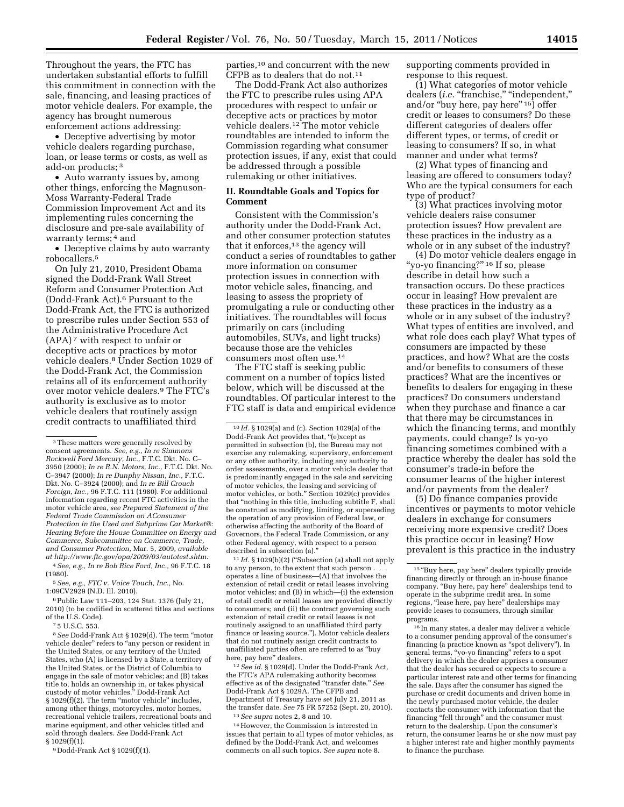Throughout the years, the FTC has undertaken substantial efforts to fulfill this commitment in connection with the sale, financing, and leasing practices of motor vehicle dealers. For example, the agency has brought numerous enforcement actions addressing:

• Deceptive advertising by motor vehicle dealers regarding purchase, loan, or lease terms or costs, as well as add-on products; 3

• Auto warranty issues by, among other things, enforcing the Magnuson-Moss Warranty-Federal Trade Commission Improvement Act and its implementing rules concerning the disclosure and pre-sale availability of warranty terms; 4 and

• Deceptive claims by auto warranty robocallers.5

On July 21, 2010, President Obama signed the Dodd-Frank Wall Street Reform and Consumer Protection Act (Dodd-Frank Act).6 Pursuant to the Dodd-Frank Act, the FTC is authorized to prescribe rules under Section 553 of the Administrative Procedure Act (APA) 7 with respect to unfair or deceptive acts or practices by motor vehicle dealers.8 Under Section 1029 of the Dodd-Frank Act, the Commission retains all of its enforcement authority over motor vehicle dealers.9 The FTC's authority is exclusive as to motor vehicle dealers that routinely assign credit contracts to unaffiliated third

4*See, e.g., In re Bob Rice Ford, Inc.,* 96 F.T.C. 18 (1980).

5*See, e.g., FTC v. Voice Touch, Inc.,* No. 1:09CV2929 (N.D. Ill. 2010).

6Public Law 111–203, 124 Stat. 1376 (July 21, 2010) (to be codified in scattered titles and sections of the U.S. Code).

7 5 U.S.C. 553.

8*See* Dodd-Frank Act § 1029(d). The term ''motor vehicle dealer" refers to "any person or resident in the United States, or any territory of the United States, who (A) is licensed by a State, a territory of the United States, or the District of Columbia to engage in the sale of motor vehicles; and (B) takes title to, holds an ownership in, or takes physical custody of motor vehicles.'' Dodd-Frank Act § 1029(f)(2). The term ''motor vehicle'' includes, among other things, motorcycles, motor homes, recreational vehicle trailers, recreational boats and marine equipment, and other vehicles titled and sold through dealers. *See* Dodd-Frank Act § 1029(f)(1).

9 Dodd-Frank Act § 1029(f)(1).

parties,10 and concurrent with the new CFPB as to dealers that do not.11

The Dodd-Frank Act also authorizes the FTC to prescribe rules using APA procedures with respect to unfair or deceptive acts or practices by motor vehicle dealers.12 The motor vehicle roundtables are intended to inform the Commission regarding what consumer protection issues, if any, exist that could be addressed through a possible rulemaking or other initiatives.

## **II. Roundtable Goals and Topics for Comment**

Consistent with the Commission's authority under the Dodd-Frank Act, and other consumer protection statutes that it enforces,<sup>13</sup> the agency will conduct a series of roundtables to gather more information on consumer protection issues in connection with motor vehicle sales, financing, and leasing to assess the propriety of promulgating a rule or conducting other initiatives. The roundtables will focus primarily on cars (including automobiles, SUVs, and light trucks) because those are the vehicles consumers most often use.14

The FTC staff is seeking public comment on a number of topics listed below, which will be discussed at the roundtables. Of particular interest to the FTC staff is data and empirical evidence

11 *Id.* § 1029(b)(2) (''Subsection (a) shall not apply to any person, to the extent that such person. operates a line of business—(A) that involves the extension of retail credit or retail leases involving motor vehicles; and (B) in which—(i) the extension of retail credit or retail leases are provided directly to consumers; and (ii) the contract governing such extension of retail credit or retail leases is not routinely assigned to an unaffiliated third party finance or leasing source.''). Motor vehicle dealers that do not routinely assign credit contracts to unaffiliated parties often are referred to as ''buy here, pay here" dealers.

12*See id.* § 1029(d). Under the Dodd-Frank Act, the FTC's APA rulemaking authority becomes effective as of the designated ''transfer date.'' *See*  Dodd-Frank Act § 1029A. The CFPB and Department of Treasury have set July 21, 2011 as the transfer date. *See* 75 FR 57252 (Sept. 20, 2010). 13*See supra* notes 2, 8 and 10.

14However, the Commission is interested in issues that pertain to all types of motor vehicles, as defined by the Dodd-Frank Act, and welcomes comments on all such topics. *See supra* note 8.

supporting comments provided in response to this request.

(1) What categories of motor vehicle dealers (*i.e.* "franchise," "independent," and/or "buy here, pay here" 15) offer credit or leases to consumers? Do these different categories of dealers offer different types, or terms, of credit or leasing to consumers? If so, in what manner and under what terms?

(2) What types of financing and leasing are offered to consumers today? Who are the typical consumers for each type of product?

(3) What practices involving motor vehicle dealers raise consumer protection issues? How prevalent are these practices in the industry as a whole or in any subset of the industry?

(4) Do motor vehicle dealers engage in "yo-yo financing?"<sup>16</sup> If so, please describe in detail how such a transaction occurs. Do these practices occur in leasing? How prevalent are these practices in the industry as a whole or in any subset of the industry? What types of entities are involved, and what role does each play? What types of consumers are impacted by these practices, and how? What are the costs and/or benefits to consumers of these practices? What are the incentives or benefits to dealers for engaging in these practices? Do consumers understand when they purchase and finance a car that there may be circumstances in which the financing terms, and monthly payments, could change? Is yo-yo financing sometimes combined with a practice whereby the dealer has sold the consumer's trade-in before the consumer learns of the higher interest and/or payments from the dealer?

(5) Do finance companies provide incentives or payments to motor vehicle dealers in exchange for consumers receiving more expensive credit? Does this practice occur in leasing? How prevalent is this practice in the industry

<sup>3</sup>These matters were generally resolved by consent agreements. *See, e.g., In re Simmons Rockwell Ford Mercury, Inc.,* F.T.C. Dkt. No. C– 3950 (2000); *In re R.N. Motors, Inc.,* F.T.C. Dkt. No. C–3947 (2000); *In re Dunphy Nissan, Inc.,* F.T.C. Dkt. No. C–3924 (2000); and *In re Bill Crouch Foreign, Inc.,* 96 F.T.C. 111 (1980). For additional information regarding recent FTC activities in the motor vehicle area, *see Prepared Statement of the Federal Trade Commission on AConsumer Protection in the Used and Subprime Car Market@: Hearing Before the House Committee on Energy and Commerce, Subcommittee on Commerce, Trade, and Consumer Protection,* Mar. 5, 2009*, available at [http://www.ftc.gov/opa/2009/03/autotest.shtm.](http://www.ftc.gov/opa/2009/03/autotest.shtm)* 

<sup>10</sup> *Id.* § 1029(a) and (c). Section 1029(a) of the Dodd-Frank Act provides that, ''(e)xcept as permitted in subsection (b), the Bureau may not exercise any rulemaking, supervisory, enforcement or any other authority, including any authority to order assessments, over a motor vehicle dealer that is predominantly engaged in the sale and servicing of motor vehicles, the leasing and servicing of motor vehicles, or both.'' Section 1029(c) provides that ''nothing in this title, including subtitle F, shall be construed as modifying, limiting, or superseding the operation of any provision of Federal law, or otherwise affecting the authority of the Board of Governors, the Federal Trade Commission, or any other Federal agency, with respect to a person described in subsection (a).''

<sup>&</sup>lt;sup>15</sup> "Buy here, pay here" dealers typically provide financing directly or through an in-house finance company. ''Buy here, pay here'' dealerships tend to operate in the subprime credit area. In some regions, "lease here, pay here" dealerships may provide leases to consumers, through similar programs.

<sup>16</sup> In many states, a dealer may deliver a vehicle to a consumer pending approval of the consumer's financing (a practice known as ''spot delivery''). In general terms, "yo-yo financing" refers to a spot delivery in which the dealer apprises a consumer that the dealer has secured or expects to secure a particular interest rate and other terms for financing the sale. Days after the consumer has signed the purchase or credit documents and driven home in the newly purchased motor vehicle, the dealer contacts the consumer with information that the financing "fell through" and the consumer must return to the dealership. Upon the consumer's return, the consumer learns he or she now must pay a higher interest rate and higher monthly payments to finance the purchase.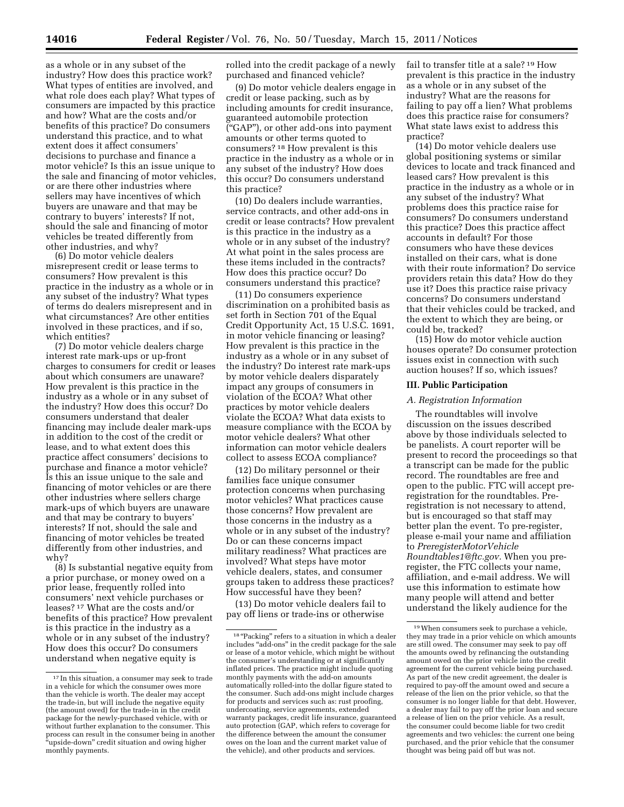as a whole or in any subset of the industry? How does this practice work? What types of entities are involved, and what role does each play? What types of consumers are impacted by this practice and how? What are the costs and/or benefits of this practice? Do consumers understand this practice, and to what extent does it affect consumers' decisions to purchase and finance a motor vehicle? Is this an issue unique to the sale and financing of motor vehicles, or are there other industries where sellers may have incentives of which buyers are unaware and that may be contrary to buyers' interests? If not, should the sale and financing of motor vehicles be treated differently from other industries, and why?

(6) Do motor vehicle dealers misrepresent credit or lease terms to consumers? How prevalent is this practice in the industry as a whole or in any subset of the industry? What types of terms do dealers misrepresent and in what circumstances? Are other entities involved in these practices, and if so, which entities?

(7) Do motor vehicle dealers charge interest rate mark-ups or up-front charges to consumers for credit or leases about which consumers are unaware? How prevalent is this practice in the industry as a whole or in any subset of the industry? How does this occur? Do consumers understand that dealer financing may include dealer mark-ups in addition to the cost of the credit or lease, and to what extent does this practice affect consumers' decisions to purchase and finance a motor vehicle? Is this an issue unique to the sale and financing of motor vehicles or are there other industries where sellers charge mark-ups of which buyers are unaware and that may be contrary to buyers' interests? If not, should the sale and financing of motor vehicles be treated differently from other industries, and why?

(8) Is substantial negative equity from a prior purchase, or money owed on a prior lease, frequently rolled into consumers' next vehicle purchases or leases? 17 What are the costs and/or benefits of this practice? How prevalent is this practice in the industry as a whole or in any subset of the industry? How does this occur? Do consumers understand when negative equity is

rolled into the credit package of a newly purchased and financed vehicle?

(9) Do motor vehicle dealers engage in credit or lease packing, such as by including amounts for credit insurance, guaranteed automobile protection (''GAP''), or other add-ons into payment amounts or other terms quoted to consumers? 18 How prevalent is this practice in the industry as a whole or in any subset of the industry? How does this occur? Do consumers understand this practice?

(10) Do dealers include warranties, service contracts, and other add-ons in credit or lease contracts? How prevalent is this practice in the industry as a whole or in any subset of the industry? At what point in the sales process are these items included in the contracts? How does this practice occur? Do consumers understand this practice?

(11) Do consumers experience discrimination on a prohibited basis as set forth in Section 701 of the Equal Credit Opportunity Act, 15 U.S.C. 1691, in motor vehicle financing or leasing? How prevalent is this practice in the industry as a whole or in any subset of the industry? Do interest rate mark-ups by motor vehicle dealers disparately impact any groups of consumers in violation of the ECOA? What other practices by motor vehicle dealers violate the ECOA? What data exists to measure compliance with the ECOA by motor vehicle dealers? What other information can motor vehicle dealers collect to assess ECOA compliance?

(12) Do military personnel or their families face unique consumer protection concerns when purchasing motor vehicles? What practices cause those concerns? How prevalent are those concerns in the industry as a whole or in any subset of the industry? Do or can these concerns impact military readiness? What practices are involved? What steps have motor vehicle dealers, states, and consumer groups taken to address these practices? How successful have they been?

(13) Do motor vehicle dealers fail to pay off liens or trade-ins or otherwise

fail to transfer title at a sale? 19 How prevalent is this practice in the industry as a whole or in any subset of the industry? What are the reasons for failing to pay off a lien? What problems does this practice raise for consumers? What state laws exist to address this practice?

(14) Do motor vehicle dealers use global positioning systems or similar devices to locate and track financed and leased cars? How prevalent is this practice in the industry as a whole or in any subset of the industry? What problems does this practice raise for consumers? Do consumers understand this practice? Does this practice affect accounts in default? For those consumers who have these devices installed on their cars, what is done with their route information? Do service providers retain this data? How do they use it? Does this practice raise privacy concerns? Do consumers understand that their vehicles could be tracked, and the extent to which they are being, or could be, tracked?

(15) How do motor vehicle auction houses operate? Do consumer protection issues exist in connection with such auction houses? If so, which issues?

## **III. Public Participation**

#### *A. Registration Information*

The roundtables will involve discussion on the issues described above by those individuals selected to be panelists. A court reporter will be present to record the proceedings so that a transcript can be made for the public record. The roundtables are free and open to the public. FTC will accept preregistration for the roundtables. Preregistration is not necessary to attend, but is encouraged so that staff may better plan the event. To pre-register, please e-mail your name and affiliation to *[PreregisterMotorVehicle](mailto:PreregisterMotorVehicleRoundtables1@ftc.gov) [Roundtables1@ftc.gov.](mailto:PreregisterMotorVehicleRoundtables1@ftc.gov)* When you preregister, the FTC collects your name, affiliation, and e-mail address. We will use this information to estimate how many people will attend and better understand the likely audience for the

<sup>17</sup> In this situation, a consumer may seek to trade in a vehicle for which the consumer owes more than the vehicle is worth. The dealer may accept the trade-in, but will include the negative equity (the amount owed) for the trade-in in the credit package for the newly-purchased vehicle, with or without further explanation to the consumer. This process can result in the consumer being in another ''upside-down'' credit situation and owing higher monthly payments.

 $^{\rm 18\,^{\rm o}}$  Packing" refers to a situation in which a dealer includes ''add-ons'' in the credit package for the sale or lease of a motor vehicle, which might be without the consumer's understanding or at significantly inflated prices. The practice might include quoting monthly payments with the add-on amounts automatically rolled-into the dollar figure stated to the consumer. Such add-ons might include charges for products and services such as: rust proofing, undercoating, service agreements, extended warranty packages, credit life insurance, guaranteed auto protection (GAP, which refers to coverage for the difference between the amount the consumer owes on the loan and the current market value of the vehicle), and other products and services.

<sup>19</sup>When consumers seek to purchase a vehicle, they may trade in a prior vehicle on which amounts are still owed. The consumer may seek to pay off the amounts owed by refinancing the outstanding amount owed on the prior vehicle into the credit agreement for the current vehicle being purchased. As part of the new credit agreement, the dealer is required to pay-off the amount owed and secure a release of the lien on the prior vehicle, so that the consumer is no longer liable for that debt. However, a dealer may fail to pay off the prior loan and secure a release of lien on the prior vehicle. As a result, the consumer could become liable for two credit agreements and two vehicles: the current one being purchased, and the prior vehicle that the consumer thought was being paid off but was not.